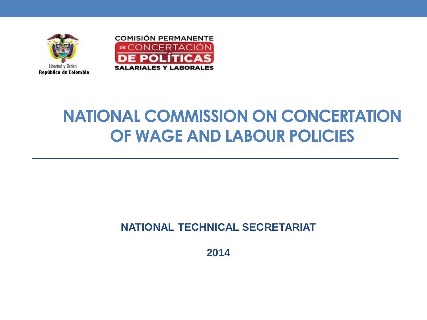



# **NATIONAL COMMISSION ON CONCERTATION OF WAGE AND LABOUR POLICIES**

#### **NATIONAL TECHNICAL SECRETARIAT**

**2014**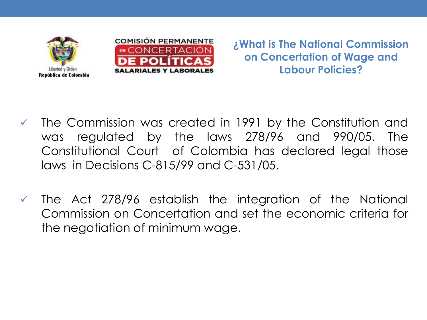



**¿What is The National Commission on Concertation of Wage and Labour Policies?**

- $\checkmark$  The Commission was created in 1991 by the Constitution and was regulated by the laws 278/96 and 990/05. The Constitutional Court of Colombia has declared legal those laws in Decisions C-815/99 and C-531/05.
- $\checkmark$  The Act 278/96 establish the integration of the National Commission on Concertation and set the economic criteria for the negotiation of minimum wage.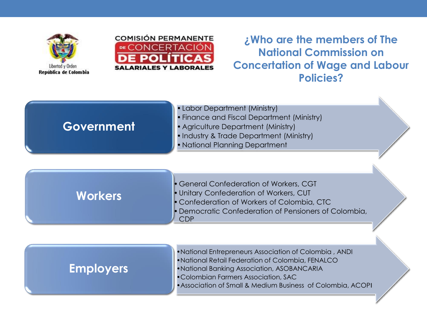



**¿Who are the members of The National Commission on Concertation of Wage and Labour Policies?**

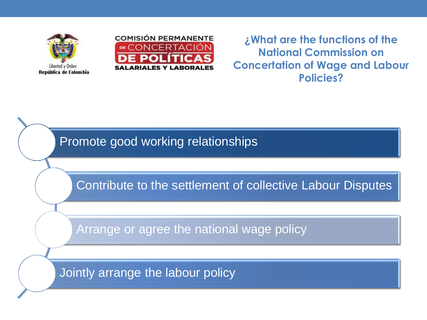



**¿What are the functions of the National Commission on Concertation of Wage and Labour Policies?**

Promote good working relationships

Contribute to the settlement of collective Labour Disputes

Arrange or agree the national wage policy

Jointly arrange the labour policy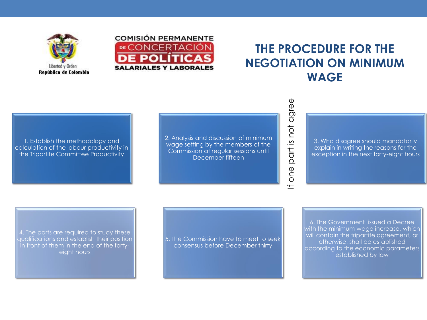



#### **THE PROCEDURE FOR THE NEGOTIATION ON MINIMUM WAGE**

If one part is not agree

one  $\pm$ 

part is not agree

1. Establish the methodology and calculation of the labour productivity in the Tripartite Committee Productivity

2. Analysis and discussion of minimum wage setting by the members of the Commission at regular sessions until December fifteen

3. Who disagree should mandatorily explain in writing the reasons for the exception in the next forty-eight hours

4. The parts are required to study these qualifications and establish their position in front of them in the end of the fortyeight hours

5. The Commission have to meet to seek consensus before December thirty

6. The Government issued a Decree with the minimum wage increase, which will contain the tripartite agreement, or otherwise, shall be established according to the economic parameters established by law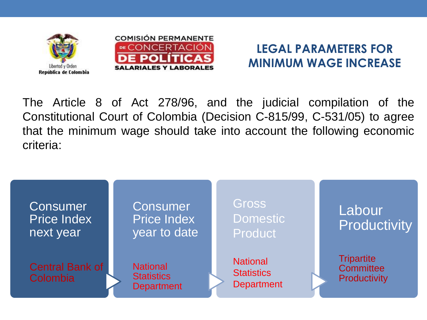



### **LEGAL PARAMETERS FOR MINIMUM WAGE INCREASE**

The Article 8 of Act 278/96, and the judicial compilation of the Constitutional Court of Colombia (Decision C-815/99, C-531/05) to agree that the minimum wage should take into account the following economic criteria:

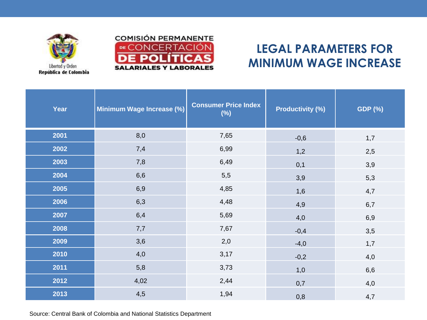![](_page_6_Picture_0.jpeg)

Libertod y Orden

República de Colombia

### **LEGAL PARAMETERS FOR MINIMUM WAGE INCREASE**

| Year | Minimum Wage Increase (%) | <b>Consumer Price Index</b><br>$(\%)$ | <b>Productivity (%)</b> | <b>GDP (%)</b> |
|------|---------------------------|---------------------------------------|-------------------------|----------------|
| 2001 | 8,0                       | 7,65                                  | $-0,6$                  | 1,7            |
| 2002 | 7,4                       | 6,99                                  | 1,2                     | 2,5            |
| 2003 | 7,8                       | 6,49                                  | 0,1                     | 3,9            |
| 2004 | 6,6                       | 5,5                                   | 3,9                     | 5,3            |
| 2005 | 6,9                       | 4,85                                  | 1,6                     | 4,7            |
| 2006 | 6,3                       | 4,48                                  | 4,9                     | 6,7            |
| 2007 | 6,4                       | 5,69                                  | 4,0                     | 6,9            |
| 2008 | 7,7                       | 7,67                                  | $-0,4$                  | 3,5            |
| 2009 | 3,6                       | 2,0                                   | $-4,0$                  | 1,7            |
| 2010 | 4,0                       | 3,17                                  | $-0,2$                  | 4,0            |
| 2011 | 5,8                       | 3,73                                  | 1,0                     | 6,6            |
| 2012 | 4,02                      | 2,44                                  | 0,7                     | 4,0            |
| 2013 | 4,5                       | 1,94                                  | 0,8                     | 4,7            |

Source: Central Bank of Colombia and National Statistics Department